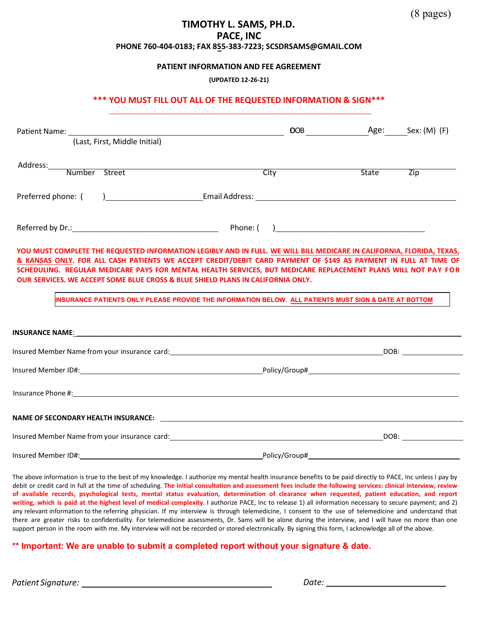#### **TIMOTHY L. SAMS, PH.D. PACE, INC PHONE 760-404-0183; FAX 855-383-7223; [SCSDRSAMS@GMAIL.COM](mailto:schedulingpaceinc@roadrunner.com)**

#### **PATIENT INFORMATION AND FEE AGREEMENT**

**(UPDATED 12-26-21)** 

#### **\*\*\* YOU MUST FILL OUT ALL OF THE REQUESTED INFORMATION & SIGN\*\*\***

| (Last, First, Middle Initial)                                                                                                                                                                                                                                                                                                                                                                                                                |               |              |                  |
|----------------------------------------------------------------------------------------------------------------------------------------------------------------------------------------------------------------------------------------------------------------------------------------------------------------------------------------------------------------------------------------------------------------------------------------------|---------------|--------------|------------------|
|                                                                                                                                                                                                                                                                                                                                                                                                                                              | City          | <b>State</b> | $\overline{Zip}$ |
| Preferred phone: (                                                                                                                                                                                                                                                                                                                                                                                                                           |               |              |                  |
|                                                                                                                                                                                                                                                                                                                                                                                                                                              |               |              |                  |
| YOU MUST COMPLETE THE REQUESTED INFORMATION LEGIBLY AND IN FULL. WE WILL BILL MEDICARE IN CALIFORNIA, FLORIDA, TEXAS,<br>& KANSAS ONLY. FOR ALL CASH PATIENTS WE ACCEPT CREDIT/DEBIT CARD PAYMENT OF \$149 AS PAYMENT IN FULL AT TIME OF<br>SCHEDULING. REGULAR MEDICARE PAYS FOR MENTAL HEALTH SERVICES, BUT MEDICARE REPLACEMENT PLANS WILL NOT PAY FOR<br>OUR SERVICES, WE ACCEPT SOME BLUE CROSS & BLUE SHIELD PLANS IN CALIFORNIA ONLY. |               |              |                  |
| INSURANCE PATIENTS ONLY PLEASE PROVIDE THE INFORMATION BELOW. ALL PATIENTS MUST SIGN & DATE AT BOTTOM                                                                                                                                                                                                                                                                                                                                        |               |              |                  |
|                                                                                                                                                                                                                                                                                                                                                                                                                                              |               |              |                  |
| Insured Member Name from your insurance card:<br>1998 - Paris Carl Member Name from your insurance card:                                                                                                                                                                                                                                                                                                                                     |               |              |                  |
|                                                                                                                                                                                                                                                                                                                                                                                                                                              |               |              |                  |
| Insurance Phone #: 1999 Management Contract Contract Contract Contract Contract Contract Contract Contract Contract Contract Contract Contract Contract Contract Contract Contract Contract Contract Contract Contract Contrac                                                                                                                                                                                                               |               |              |                  |
| NAME OF SECONDARY HEALTH INSURANCE: NAMEL AND THE STATE OF SECONDARY HEALTH INSURANCE:                                                                                                                                                                                                                                                                                                                                                       |               |              |                  |
|                                                                                                                                                                                                                                                                                                                                                                                                                                              |               |              |                  |
| Insured Member ID#:                                                                                                                                                                                                                                                                                                                                                                                                                          | Policy/Group# |              |                  |

The above information is true to the best of my knowledge. I authorize my mental health insurance benefits to be paid directly to PACE, Inc unless I pay by debit or credit card in full at the time of scheduling. **The initial consultation and assessment fees include the following services: clinical interview, review of available records, psychological tests, mental status evaluation, determination of clearance when requested, patient education, and report writing, which is paid at the highest level of medical complexity.** I authorize PACE, Inc to release 1) all information necessary to secure payment; and 2) any relevant information to the referring physician. If my interview is through telemedicine, I consent to the use of telemedicine and understand that there are greater risks to confidentiality. For telemedicine assessments, Dr. Sams will be alone during the interview, and I will have no more than one support person in the room with me. My interview will not be recorded or stored electronically. By signing this form, I acknowledge all of the above.

#### **\*\* Important: We are unable to submit a completed report without your signature & date.**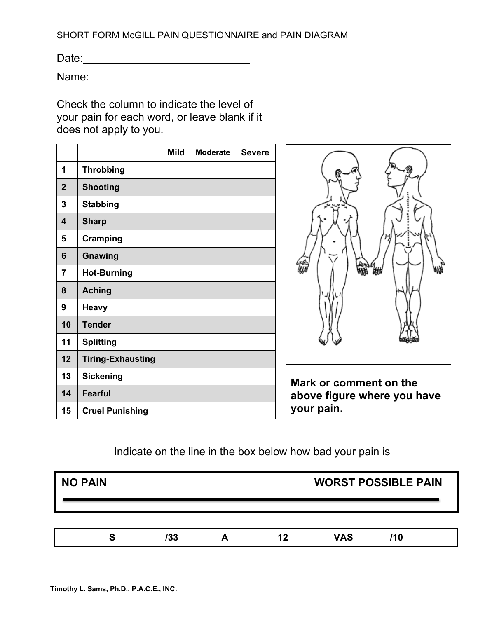SHORT FORM McGILL PAIN QUESTIONNAIRE and PAIN DIAGRAM

Date:

Name:

Check the column to indicate the level of your pain for each word, or leave blank if it does not apply to you.

|                  |                          | <b>Mild</b> | <b>Moderate</b> | <b>Severe</b> |
|------------------|--------------------------|-------------|-----------------|---------------|
| 1                | <b>Throbbing</b>         |             |                 |               |
| $\overline{2}$   | <b>Shooting</b>          |             |                 |               |
| 3                | <b>Stabbing</b>          |             |                 |               |
| $\boldsymbol{4}$ | <b>Sharp</b>             |             |                 |               |
| 5                | Cramping                 |             |                 |               |
| 6                | Gnawing                  |             |                 |               |
| 7                | <b>Hot-Burning</b>       |             |                 |               |
| 8                | <b>Aching</b>            |             |                 |               |
| 9                | Heavy                    |             |                 |               |
| 10               | <b>Tender</b>            |             |                 |               |
| 11               | <b>Splitting</b>         |             |                 |               |
| 12               | <b>Tiring-Exhausting</b> |             |                 |               |
| 13               | <b>Sickening</b>         |             |                 |               |
| 14               | Fearful                  |             |                 |               |
| 15               | <b>Cruel Punishing</b>   |             |                 |               |



**Mark or comment on the above figure where you have your pain.**

## Indicate on the line in the box below how bad your pain is

| NO PAIN |     |  |    | <b>WORST POSSIBLE PAIN</b> |     |
|---------|-----|--|----|----------------------------|-----|
|         |     |  |    |                            |     |
| S       | /33 |  | 12 | <b>VAS</b>                 | /10 |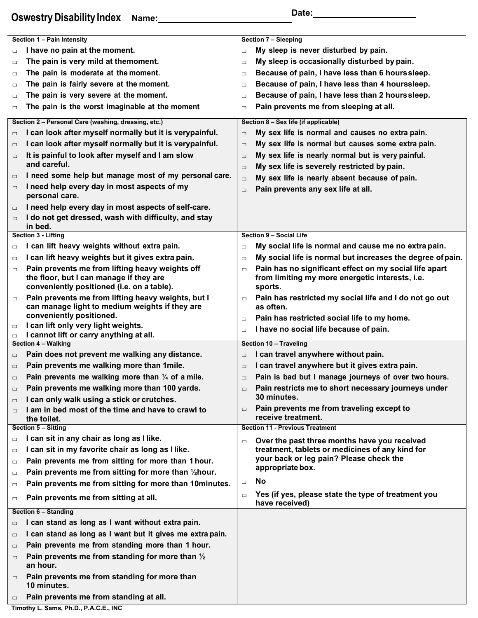# **Oswestry Disability Index** Name: Date: Date: Date:

|        | Section 1 - Pain Intensity                                                            |        | Section 7 - Sleeping                                                  |
|--------|---------------------------------------------------------------------------------------|--------|-----------------------------------------------------------------------|
| $\Box$ | I have no pain at the moment.                                                         | $\Box$ | My sleep is never disturbed by pain.                                  |
| $\Box$ | The pain is very mild at themoment.                                                   | $\Box$ | My sleep is occasionally disturbed by pain.                           |
| $\Box$ | The pain is moderate at the moment.                                                   | $\Box$ | Because of pain, I have less than 6 hours sleep.                      |
| $\Box$ | The pain is fairly severe at the moment.                                              | $\Box$ | Because of pain, I have less than 4 hourssleep.                       |
| $\Box$ | The pain is very severe at the moment.                                                | $\Box$ | Because of pain, I have less than 2 hours sleep.                      |
| $\Box$ | The pain is the worst imaginable at the moment                                        | $\Box$ | Pain prevents me from sleeping at all.                                |
|        |                                                                                       |        |                                                                       |
|        | Section 2 - Personal Care (washing, dressing, etc.)                                   |        | Section 8 - Sex life (if applicable)                                  |
| $\Box$ | I can look after myself normally but it is verypainful.                               | $\Box$ | My sex life is normal and causes no extra pain.                       |
| $\Box$ | I can look after myself normally but it is verypainful.                               | $\Box$ | My sex life is normal but causes some extra pain.                     |
| $\Box$ | It is painful to look after myself and I am slow                                      | $\Box$ | My sex life is nearly normal but is very painful.                     |
|        | and careful.                                                                          | $\Box$ | My sex life is severely restricted by pain.                           |
| $\Box$ | I need some help but manage most of my personal care.                                 | $\Box$ | My sex life is nearly absent because of pain.                         |
| $\Box$ | I need help every day in most aspects of my                                           | $\Box$ | Pain prevents any sex life at all.                                    |
|        | personal care.                                                                        |        |                                                                       |
| $\Box$ | I need help every day in most aspects of self-care.                                   |        |                                                                       |
| $\Box$ | I do not get dressed, wash with difficulty, and stay                                  |        |                                                                       |
|        | in bed.<br>Section 3 - Lifting                                                        |        | Section 9 - Social Life                                               |
|        | I can lift heavy weights without extra pain.                                          |        |                                                                       |
| $\Box$ |                                                                                       | $\Box$ | My social life is normal and cause me no extra pain.                  |
| $\Box$ | I can lift heavy weights but it gives extra pain.                                     | $\Box$ | My social life is normal but increases the degree of pain.            |
| $\Box$ | Pain prevents me from lifting heavy weights off                                       | $\Box$ | Pain has no significant effect on my social life apart                |
|        | the floor, but I can manage if they are<br>conveniently positioned (i.e. on a table). |        | from limiting my more energetic interests, i.e.<br>sports.            |
|        | Pain prevents me from lifting heavy weights, but I                                    |        | Pain has restricted my social life and I do not go out                |
| $\Box$ | can manage light to medium weights if they are                                        | □      | as often.                                                             |
|        | conveniently positioned.                                                              | $\Box$ | Pain has restricted social life to my home.                           |
| $\Box$ | I can lift only very light weights.                                                   |        | I have no social life because of pain.                                |
| $\Box$ | I cannot lift or carry anything at all.                                               | $\Box$ |                                                                       |
|        | <b>Section 4 - Walking</b>                                                            |        | Section 10 - Traveling                                                |
| $\Box$ | Pain does not prevent me walking any distance.                                        | $\Box$ | I can travel anywhere without pain.                                   |
| $\Box$ | Pain prevents me walking more than 1 mile.                                            | $\Box$ | I can travel anywhere but it gives extra pain.                        |
| $\Box$ | Pain prevents me walking more than $\frac{1}{4}$ of a mile.                           | $\Box$ | Pain is bad but I manage journeys of over two hours.                  |
| $\Box$ | Pain prevents me walking more than 100 yards.                                         | $\Box$ | Pain restricts me to short necessary journeys under                   |
| $\Box$ | I can only walk using a stick or crutches.                                            |        | 30 minutes.                                                           |
| $\Box$ | I am in bed most of the time and have to crawl to                                     | $\Box$ | Pain prevents me from traveling except to                             |
|        | the toilet.                                                                           |        | receive treatment.                                                    |
|        | <b>Section 5 - Sitting</b>                                                            |        | <b>Section 11 - Previous Treatment</b>                                |
| $\Box$ | I can sit in any chair as long as I like.                                             | $\Box$ | Over the past three months have you received                          |
| $\Box$ | I can sit in my favorite chair as long as I like.                                     |        | treatment, tablets or medicines of any kind for                       |
| $\Box$ | Pain prevents me from sitting for more than 1 hour.                                   |        | your back or leg pain? Please check the                               |
| $\Box$ | Pain prevents me from sitting for more than 1/2 hour.                                 |        | appropriate box.                                                      |
| $\Box$ | Pain prevents me from sitting for more than 10minutes.                                | $\Box$ | <b>No</b>                                                             |
| $\Box$ | Pain prevents me from sitting at all.                                                 | $\Box$ | Yes (if yes, please state the type of treatment you<br>have received) |
|        | Section 6 - Standing                                                                  |        |                                                                       |
| $\Box$ | I can stand as long as I want without extra pain.                                     |        |                                                                       |
| $\Box$ | I can stand as long as I want but it gives me extra pain.                             |        |                                                                       |
|        | Pain prevents me from standing more than 1 hour.                                      |        |                                                                       |
| $\Box$ |                                                                                       |        |                                                                       |
| $\Box$ | Pain prevents me from standing for more than 1/2<br>an hour.                          |        |                                                                       |
|        | Pain prevents me from standing for more than                                          |        |                                                                       |
| $\Box$ | 10 minutes.                                                                           |        |                                                                       |
| $\Box$ | Pain prevents me from standing at all.                                                |        |                                                                       |

**Timothy L. Sams, Ph.D., P.A.C.E., INC**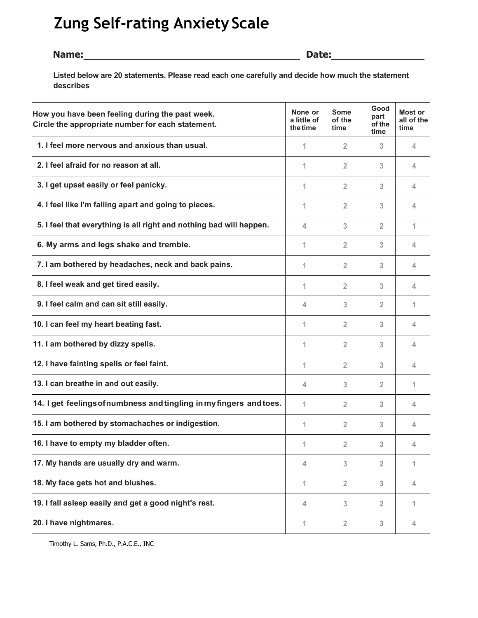# **Zung Self-rating Anxiety Scale**

#### **Name: Date:**

**Listed below are 20 statements. Please read each one carefully and decide how much the statement describes**

| How you have been feeling during the past week.<br>Circle the appropriate number for each statement. | None or<br>a little of<br>the time | <b>Some</b><br>of the<br>time | Good<br>part<br>of the<br>time | Most or<br>all of the<br>time |
|------------------------------------------------------------------------------------------------------|------------------------------------|-------------------------------|--------------------------------|-------------------------------|
| 1. I feel more nervous and anxious than usual.                                                       | 1                                  | $\overline{2}$                | 3                              | 4                             |
| 2. I feel afraid for no reason at all.                                                               | 1                                  | $\overline{2}$                | 3                              | 4                             |
| 3. I get upset easily or feel panicky.                                                               | 1                                  | $\overline{2}$                | 3                              | 4                             |
| 4. I feel like I'm falling apart and going to pieces.                                                | 1                                  | $\overline{2}$                | 3                              | 4                             |
| 5. I feel that everything is all right and nothing bad will happen.                                  | 4                                  | 3                             | $\overline{2}$                 | 1                             |
| 6. My arms and legs shake and tremble.                                                               | 1                                  | $\overline{2}$                | 3                              | 4                             |
| 7. I am bothered by headaches, neck and back pains.                                                  | 1                                  | $\overline{2}$                | 3                              | 4                             |
| 8. I feel weak and get tired easily.                                                                 | 1                                  | $\overline{2}$                | 3                              | 4                             |
| 9. I feel calm and can sit still easily.                                                             | 4                                  | 3                             | $\overline{2}$                 | 1                             |
| 10. I can feel my heart beating fast.                                                                | 1                                  | $\overline{2}$                | 3                              | 4                             |
| 11. I am bothered by dizzy spells.                                                                   | 1                                  | $\overline{2}$                | 3                              | 4                             |
| 12. I have fainting spells or feel faint.                                                            | 1                                  | $\overline{2}$                | 3                              | 4                             |
| 13. I can breathe in and out easily.                                                                 | 4                                  | 3                             | $\overline{2}$                 | 1                             |
| 14. I get feelings of numbness and tingling in my fingers and toes.                                  | 1                                  | $\overline{2}$                | 3                              | 4                             |
| 15. I am bothered by stomachaches or indigestion.                                                    | 1                                  | $\overline{2}$                | 3                              | 4                             |
| 16. I have to empty my bladder often.                                                                | 1                                  | $\overline{2}$                | 3                              | 4                             |
| 17. My hands are usually dry and warm.                                                               | 4                                  | 3                             | $\overline{2}$                 | 1                             |
| 18. My face gets hot and blushes.                                                                    | 1                                  | $\overline{2}$                | 3                              | 4                             |
| 19. I fall asleep easily and get a good night's rest.                                                | 4                                  | 3                             | $\overline{2}$                 | 1                             |
| 20. I have nightmares.                                                                               | 1                                  | $\overline{2}$                | 3                              | 4                             |

Timothy L. Sams, Ph.D., P.A.C.E., INC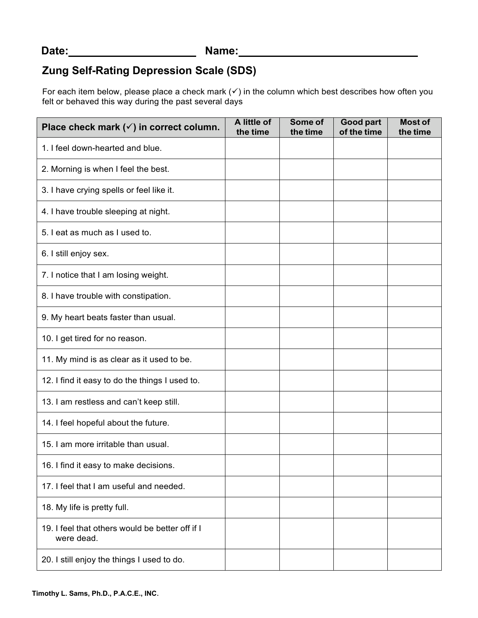## **Zung Self-Rating Depression Scale (SDS)**

For each item below, please place a check mark  $(v)$  in the column which best describes how often you felt or behaved this way during the past several days

| Place check mark $(\checkmark)$ in correct column.            | A little of<br>the time | Some of<br>the time | Good part<br>of the time | <b>Most of</b><br>the time |
|---------------------------------------------------------------|-------------------------|---------------------|--------------------------|----------------------------|
| 1. I feel down-hearted and blue.                              |                         |                     |                          |                            |
| 2. Morning is when I feel the best.                           |                         |                     |                          |                            |
| 3. I have crying spells or feel like it.                      |                         |                     |                          |                            |
| 4. I have trouble sleeping at night.                          |                         |                     |                          |                            |
| 5. I eat as much as I used to.                                |                         |                     |                          |                            |
| 6. I still enjoy sex.                                         |                         |                     |                          |                            |
| 7. I notice that I am losing weight.                          |                         |                     |                          |                            |
| 8. I have trouble with constipation.                          |                         |                     |                          |                            |
| 9. My heart beats faster than usual.                          |                         |                     |                          |                            |
| 10. I get tired for no reason.                                |                         |                     |                          |                            |
| 11. My mind is as clear as it used to be.                     |                         |                     |                          |                            |
| 12. I find it easy to do the things I used to.                |                         |                     |                          |                            |
| 13. I am restless and can't keep still.                       |                         |                     |                          |                            |
| 14. I feel hopeful about the future.                          |                         |                     |                          |                            |
| 15. I am more irritable than usual.                           |                         |                     |                          |                            |
| 16. I find it easy to make decisions.                         |                         |                     |                          |                            |
| 17. I feel that I am useful and needed.                       |                         |                     |                          |                            |
| 18. My life is pretty full.                                   |                         |                     |                          |                            |
| 19. I feel that others would be better off if I<br>were dead. |                         |                     |                          |                            |
| 20. I still enjoy the things I used to do.                    |                         |                     |                          |                            |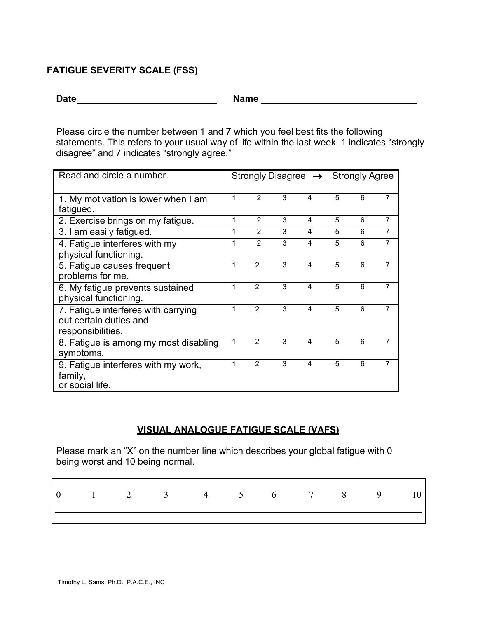### **FATIGUE SEVERITY SCALE (FSS)**

**Date Name**

Please circle the number between 1 and 7 which you feel best fits the following statements. This refers to your usual way of life within the last week. 1 indicates "strongly disagree" and 7 indicates "strongly agree."

| Read and circle a number.                                                          |   |                |   | Strongly Disagree $\rightarrow$ Strongly Agree |   |   |   |
|------------------------------------------------------------------------------------|---|----------------|---|------------------------------------------------|---|---|---|
| 1. My motivation is lower when I am<br>fatigued.                                   | 1 | 2              | 3 | 4                                              | 5 | 6 | 7 |
| 2. Exercise brings on my fatigue.                                                  | 1 | $\mathfrak{p}$ | 3 | 4                                              | 5 | 6 | 7 |
| 3. I am easily fatigued.                                                           | 1 | $\mathcal{P}$  | 3 | 4                                              | 5 | 6 | 7 |
| 4. Fatigue interferes with my<br>physical functioning.                             | 1 | $\mathfrak{p}$ | 3 | $\overline{\mathbf{4}}$                        | 5 | 6 | 7 |
| 5. Fatigue causes frequent<br>problems for me.                                     | 1 | $\mathfrak{p}$ | 3 | $\overline{\mathbf{4}}$                        | 5 | 6 | 7 |
| 6. My fatigue prevents sustained<br>physical functioning.                          | 1 | $\mathfrak{p}$ | 3 | $\boldsymbol{\Delta}$                          | 5 | 6 | 7 |
| 7. Fatigue interferes with carrying<br>out certain duties and<br>responsibilities. | 1 | $\mathcal{P}$  | 3 | $\overline{\mathbf{4}}$                        | 5 | 6 | 7 |
| 8. Fatigue is among my most disabling<br>symptoms.                                 | 1 | $\mathfrak{p}$ | 3 | $\overline{4}$                                 | 5 | 6 | 7 |
| 9. Fatigue interferes with my work,<br>family,<br>or social life.                  | 1 | $\overline{2}$ | 3 | $\boldsymbol{\Delta}$                          | 5 | 6 | 7 |

### **VISUAL ANALOGUE FATIGUE SCALE (VAFS)**

Please mark an "X" on the number line which describes your global fatigue with 0 being worst and 10 being normal.

|  | 1 2 3 4 5 6 7 8 9 |  |  |  |  |
|--|-------------------|--|--|--|--|
|  |                   |  |  |  |  |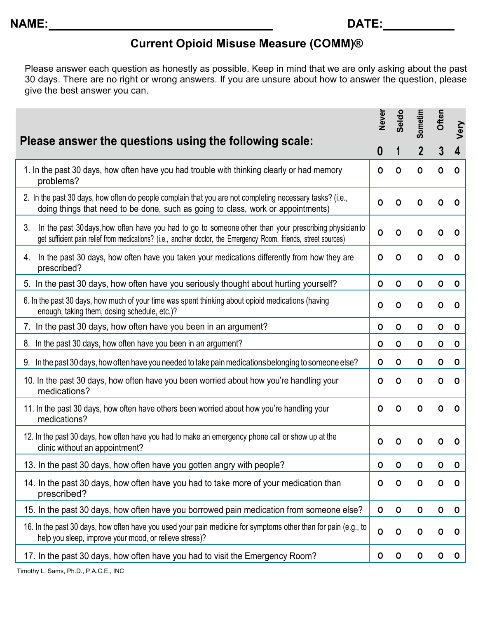## **Current Opioid Misuse Measure (COMM)®**

Please answer each question as honestly as possible. Keep in mind that we are only asking about the past 30 days. There are no right or wrong answers. If you are unsure about how to answer the question, please give the best answer you can.

|                                                                                                                                                                                                                                 | <b>Never</b> | Seldo       | Sometim     | Often       | Very         |
|---------------------------------------------------------------------------------------------------------------------------------------------------------------------------------------------------------------------------------|--------------|-------------|-------------|-------------|--------------|
| Please answer the questions using the following scale:                                                                                                                                                                          | 0            |             |             | 3           | 4            |
| 1. In the past 30 days, how often have you had trouble with thinking clearly or had memory<br>problems?                                                                                                                         | 0            | 0           | $\mathbf 0$ | $\Omega$    | 0            |
| 2. In the past 30 days, how often do people complain that you are not completing necessary tasks? (i.e.,<br>doing things that need to be done, such as going to class, work or appointments)                                    | 0            | O           | O           | 0           | O            |
| 3.<br>In the past 30 days, how often have you had to go to someone other than your prescribing physician to<br>get sufficient pain relief from medications? (i.e., another doctor, the Emergency Room, friends, street sources) | 0            | $\mathbf 0$ | 0           | 0           | 0            |
| In the past 30 days, how often have you taken your medications differently from how they are<br>4.<br>prescribed?                                                                                                               | 0            | 0           | 0           | 0           | 0            |
| 5. In the past 30 days, how often have you seriously thought about hurting yourself?                                                                                                                                            | 0            | $\mathbf 0$ | $\mathbf 0$ | $\mathbf 0$ | 0            |
| 6. In the past 30 days, how much of your time was spent thinking about opioid medications (having<br>enough, taking them, dosing schedule, etc.)?                                                                               | $\mathbf 0$  | $\mathbf 0$ | O           | O           | 0            |
| 7. In the past 30 days, how often have you been in an argument?                                                                                                                                                                 | $\mathbf 0$  | 0           | $\mathbf 0$ | $\mathbf 0$ | $\mathbf 0$  |
| 8. In the past 30 days, how often have you been in an argument?                                                                                                                                                                 | 0            | $\mathbf 0$ | 0           | 0           | $\mathbf 0$  |
| 9. In the past 30 days, how often have you needed to take pain medications belonging to someone else?                                                                                                                           | 0            | $\mathbf 0$ | 0           | 0           | 0            |
| 10. In the past 30 days, how often have you been worried about how you're handling your<br>medications?                                                                                                                         | 0            | 0           | O           | 0           | 0            |
| 11. In the past 30 days, how often have others been worried about how you're handling your<br>medications?                                                                                                                      | 0            | O           | $\Omega$    | O           | O            |
| 12. In the past 30 days, how often have you had to make an emergency phone call or show up at the<br>clinic without an appointment?                                                                                             | 0            | Ο           | O           | 0           | O            |
| 13. In the past 30 days, how often have you gotten angry with people?                                                                                                                                                           | 0            | O           | O           | O           | 0            |
| 14. In the past 30 days, how often have you had to take more of your medication than<br>prescribed?                                                                                                                             | $\mathbf 0$  | $\mathbf 0$ | $\mathbf 0$ | $\mathbf 0$ | $\mathbf{O}$ |
| 15. In the past 30 days, how often have you borrowed pain medication from someone else?                                                                                                                                         | 0            | $\mathbf 0$ | $\mathbf 0$ | $\mathbf 0$ | $\mathbf 0$  |
| 16. In the past 30 days, how often have you used your pain medicine for symptoms other than for pain (e.g., to<br>help you sleep, improve your mood, or relieve stress)?                                                        | 0            | O           | O           | 0           | 0            |
| 17. In the past 30 days, how often have you had to visit the Emergency Room?                                                                                                                                                    | 0            | O           | 0           | 0           | $\mathbf 0$  |